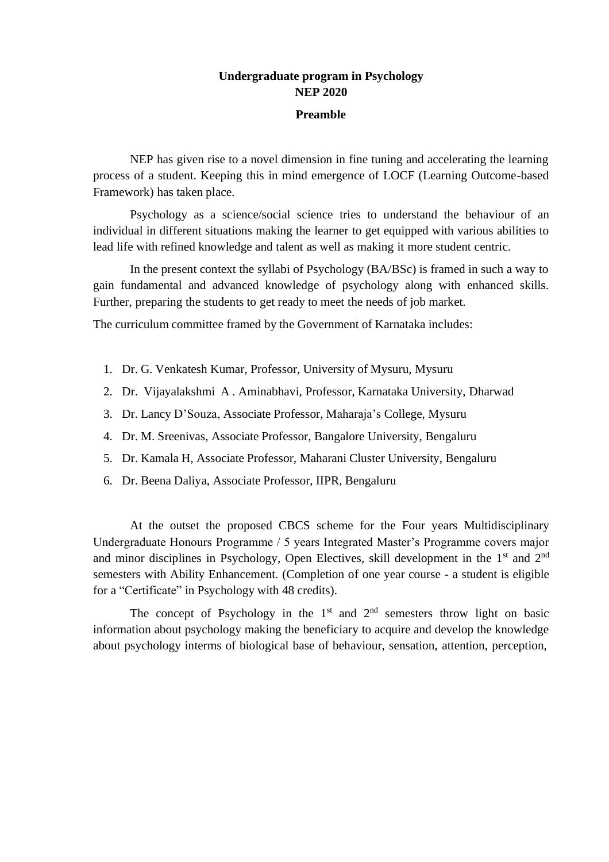# **Undergraduate program in Psychology NEP 2020**

#### **Preamble**

NEP has given rise to a novel dimension in fine tuning and accelerating the learning process of a student. Keeping this in mind emergence of LOCF (Learning Outcome-based Framework) has taken place.

Psychology as a science/social science tries to understand the behaviour of an individual in different situations making the learner to get equipped with various abilities to lead life with refined knowledge and talent as well as making it more student centric.

In the present context the syllabi of Psychology (BA/BSc) is framed in such a way to gain fundamental and advanced knowledge of psychology along with enhanced skills. Further, preparing the students to get ready to meet the needs of job market.

The curriculum committee framed by the Government of Karnataka includes:

- 1. Dr. G. Venkatesh Kumar, Professor, University of Mysuru, Mysuru
- 2. Dr. Vijayalakshmi A . Aminabhavi, Professor, Karnataka University, Dharwad
- 3. Dr. Lancy D'Souza, Associate Professor, Maharaja's College, Mysuru
- 4. Dr. M. Sreenivas, Associate Professor, Bangalore University, Bengaluru
- 5. Dr. Kamala H, Associate Professor, Maharani Cluster University, Bengaluru
- 6. Dr. Beena Daliya, Associate Professor, IIPR, Bengaluru

At the outset the proposed CBCS scheme for the Four years Multidisciplinary Undergraduate Honours Programme / 5 years Integrated Master's Programme covers major and minor disciplines in Psychology, Open Electives, skill development in the  $1<sup>st</sup>$  and  $2<sup>nd</sup>$ semesters with Ability Enhancement. (Completion of one year course - a student is eligible for a "Certificate" in Psychology with 48 credits).

The concept of Psychology in the  $1<sup>st</sup>$  and  $2<sup>nd</sup>$  semesters throw light on basic information about psychology making the beneficiary to acquire and develop the knowledge about psychology interms of biological base of behaviour, sensation, attention, perception,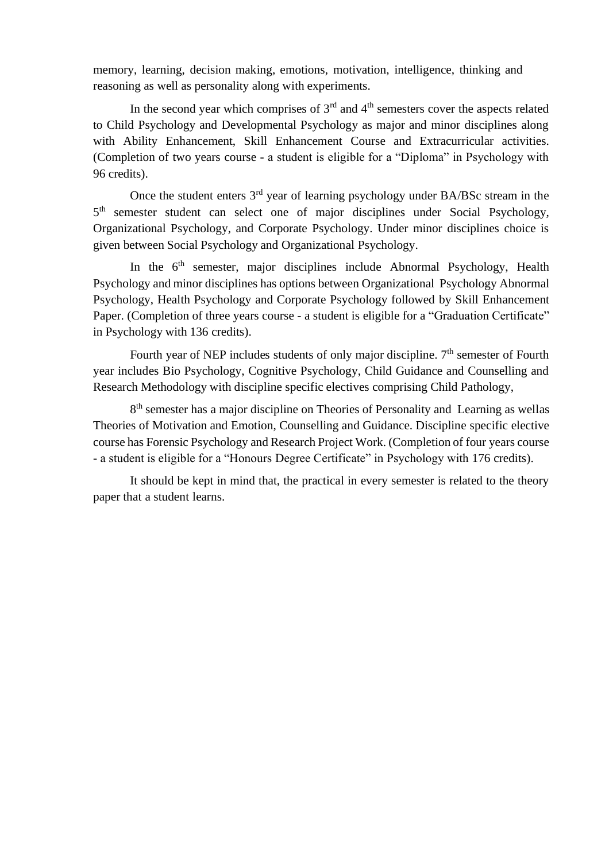memory, learning, decision making, emotions, motivation, intelligence, thinking and reasoning as well as personality along with experiments.

In the second year which comprises of  $3<sup>rd</sup>$  and  $4<sup>th</sup>$  semesters cover the aspects related to Child Psychology and Developmental Psychology as major and minor disciplines along with Ability Enhancement, Skill Enhancement Course and Extracurricular activities. (Completion of two years course - a student is eligible for a "Diploma" in Psychology with 96 credits).

Once the student enters 3rd year of learning psychology under BA/BSc stream in the 5<sup>th</sup> semester student can select one of major disciplines under Social Psychology, Organizational Psychology, and Corporate Psychology. Under minor disciplines choice is given between Social Psychology and Organizational Psychology.

In the 6<sup>th</sup> semester, major disciplines include Abnormal Psychology, Health Psychology and minor disciplines has options between Organizational Psychology Abnormal Psychology, Health Psychology and Corporate Psychology followed by Skill Enhancement Paper. (Completion of three years course - a student is eligible for a "Graduation Certificate" in Psychology with 136 credits).

Fourth year of NEP includes students of only major discipline.  $7<sup>th</sup>$  semester of Fourth year includes Bio Psychology, Cognitive Psychology, Child Guidance and Counselling and Research Methodology with discipline specific electives comprising Child Pathology,

8<sup>th</sup> semester has a major discipline on Theories of Personality and Learning as wellas Theories of Motivation and Emotion, Counselling and Guidance. Discipline specific elective course has Forensic Psychology and Research Project Work. (Completion of four years course - a student is eligible for a "Honours Degree Certificate" in Psychology with 176 credits).

It should be kept in mind that, the practical in every semester is related to the theory paper that a student learns.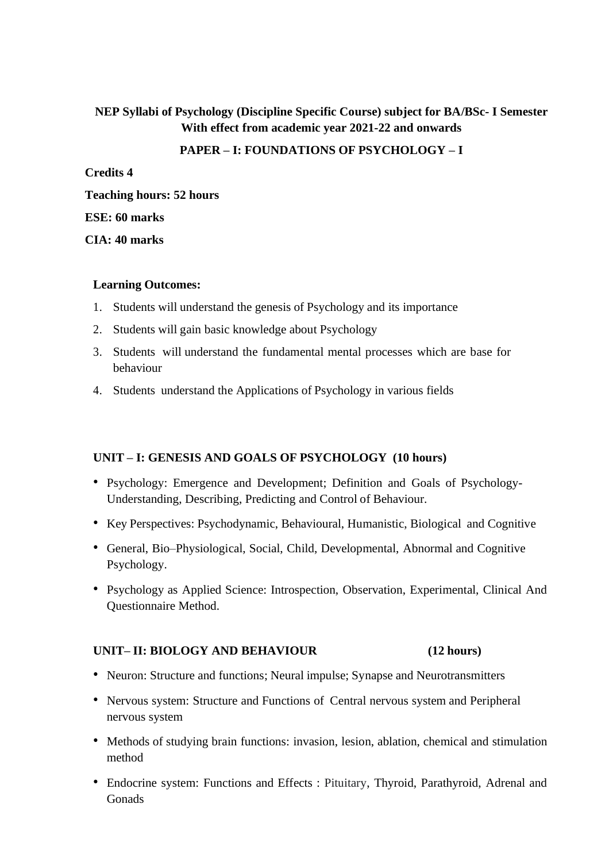## **NEP Syllabi of Psychology (Discipline Specific Course) subject for BA/BSc- I Semester With effect from academic year 2021-22 and onwards**

#### **PAPER – I: FOUNDATIONS OF PSYCHOLOGY – I**

**Credits 4 Teaching hours: 52 hours**

#### **ESE: 60 marks**

**CIA: 40 marks**

#### **Learning Outcomes:**

- 1. Students will understand the genesis of Psychology and its importance
- 2. Students will gain basic knowledge about Psychology
- 3. Students will understand the fundamental mental processes which are base for behaviour
- 4. Students understand the Applications of Psychology in various fields

## **UNIT – I: GENESIS AND GOALS OF PSYCHOLOGY (10 hours)**

- Psychology: Emergence and Development; Definition and Goals of Psychology-Understanding, Describing, Predicting and Control of Behaviour.
- Key Perspectives: Psychodynamic, Behavioural, Humanistic, Biological and Cognitive
- General, Bio–Physiological, Social, Child, Developmental, Abnormal and Cognitive Psychology.
- Psychology as Applied Science: Introspection, Observation, Experimental, Clinical And Questionnaire Method.

#### **UNIT– II: BIOLOGY AND BEHAVIOUR (12 hours)**

- Neuron: Structure and functions; Neural impulse; Synapse and Neurotransmitters
- Nervous system: Structure and Functions of Central nervous system and Peripheral nervous system
- Methods of studying brain functions: invasion, lesion, ablation, chemical and stimulation method
- Endocrine system: Functions and Effects : Pituitary, Thyroid, Parathyroid, Adrenal and Gonads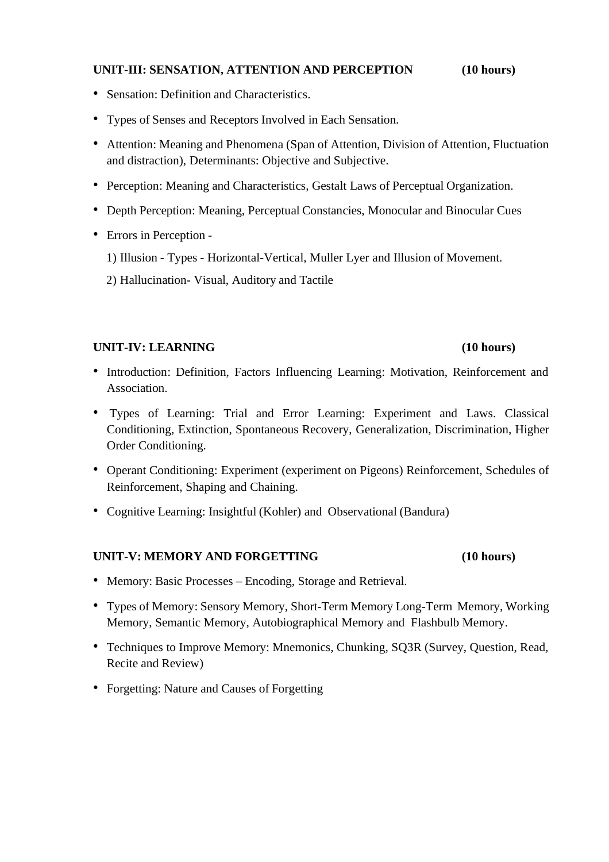## **UNIT-III: SENSATION, ATTENTION AND PERCEPTION (10 hours)**

- Sensation: Definition and Characteristics.
- Types of Senses and Receptors Involved in Each Sensation.
- Attention: Meaning and Phenomena (Span of Attention, Division of Attention, Fluctuation and distraction), Determinants: Objective and Subjective.
- Perception: Meaning and Characteristics, Gestalt Laws of Perceptual Organization.
- Depth Perception: Meaning, Perceptual Constancies, Monocular and Binocular Cues
- Errors in Perception
	- 1) Illusion Types Horizontal-Vertical, Muller Lyer and Illusion of Movement.
	- 2) Hallucination- Visual, Auditory and Tactile

#### **UNIT-IV: LEARNING (10 hours)**

- Introduction: Definition, Factors Influencing Learning: Motivation, Reinforcement and Association.
- Types of Learning: Trial and Error Learning: Experiment and Laws. Classical Conditioning, Extinction, Spontaneous Recovery, Generalization, Discrimination, Higher Order Conditioning.
- Operant Conditioning: Experiment (experiment on Pigeons) Reinforcement, Schedules of Reinforcement, Shaping and Chaining.
- Cognitive Learning: Insightful (Kohler) and Observational (Bandura)

#### **UNIT-V: MEMORY AND FORGETTING (10 hours)**

- Memory: Basic Processes Encoding, Storage and Retrieval.
- Types of Memory: Sensory Memory, Short-Term Memory Long-Term Memory, Working Memory, Semantic Memory, Autobiographical Memory and Flashbulb Memory.
- Techniques to Improve Memory: Mnemonics, Chunking, SQ3R (Survey, Question, Read, Recite and Review)
- Forgetting: Nature and Causes of Forgetting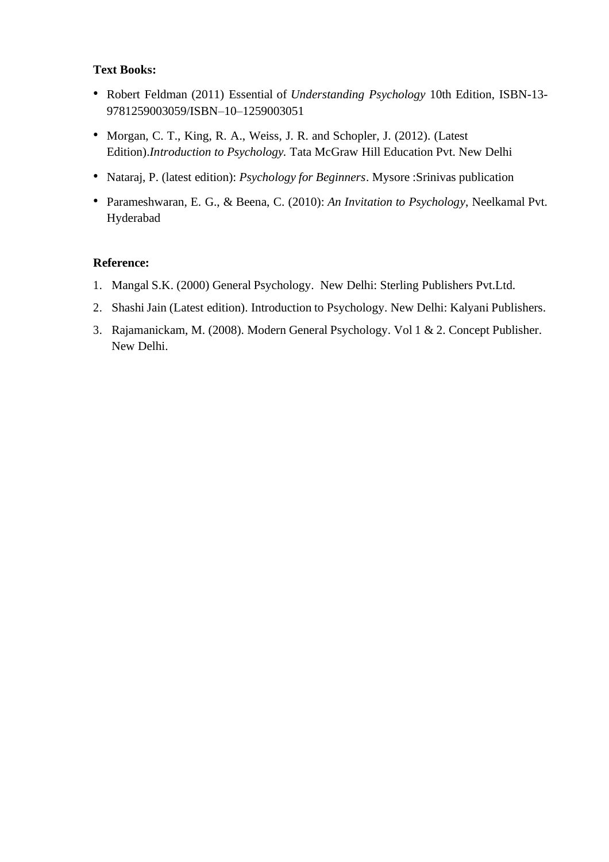## **Text Books:**

- Robert Feldman (2011) Essential of *Understanding Psychology* 10th Edition, ISBN-13- 9781259003059/ISBN–10–1259003051
- Morgan, C. T., King, R. A., Weiss, J. R. and Schopler, J. (2012). (Latest Edition).*Introduction to Psychology.* Tata McGraw Hill Education Pvt. New Delhi
- Nataraj, P. (latest edition): *Psychology for Beginners*. Mysore :Srinivas publication
- Parameshwaran, E. G., & Beena, C. (2010): *An Invitation to Psychology*, Neelkamal Pvt. Hyderabad

### **Reference:**

- 1. Mangal S.K. (2000) General Psychology. New Delhi: Sterling Publishers Pvt.Ltd.
- 2. Shashi Jain (Latest edition). Introduction to Psychology. New Delhi: Kalyani Publishers.
- 3. Rajamanickam, M. (2008). Modern General Psychology. Vol 1 & 2. Concept Publisher. New Delhi.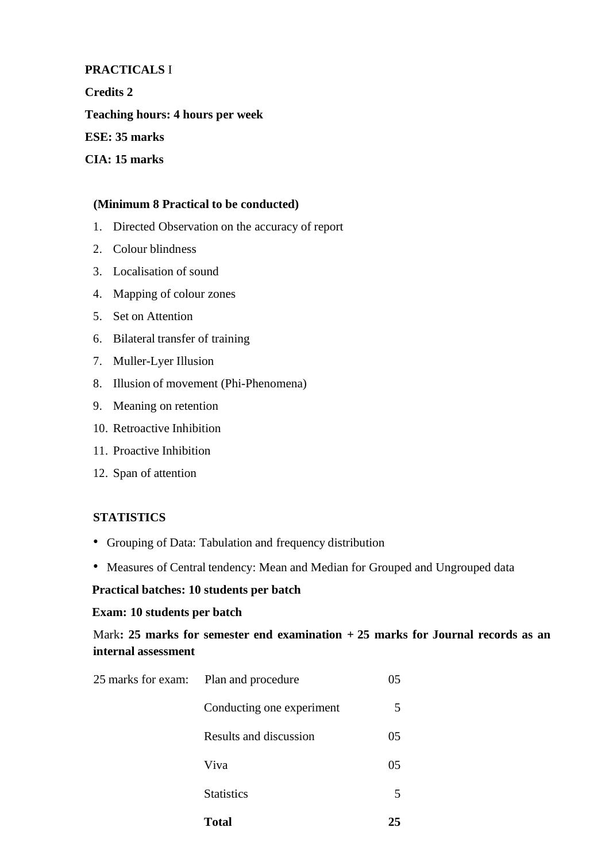#### **PRACTICALS** I

**Credits 2**

**Teaching hours: 4 hours per week**

**ESE: 35 marks**

**CIA: 15 marks**

#### **(Minimum 8 Practical to be conducted)**

- 1. Directed Observation on the accuracy of report
- 2. Colour blindness
- 3. Localisation of sound
- 4. Mapping of colour zones
- 5. Set on Attention
- 6. Bilateral transfer of training
- 7. Muller-Lyer Illusion
- 8. Illusion of movement (Phi-Phenomena)
- 9. Meaning on retention
- 10. Retroactive Inhibition
- 11. Proactive Inhibition
- 12. Span of attention

#### **STATISTICS**

- Grouping of Data: Tabulation and frequency distribution
- Measures of Central tendency: Mean and Median for Grouped and Ungrouped data

### **Practical batches: 10 students per batch**

#### **Exam: 10 students per batch**

## Mark**: 25 marks for semester end examination + 25 marks for Journal records as an internal assessment**

| <b>Total</b>                          | 25 |
|---------------------------------------|----|
| <b>Statistics</b>                     | 5  |
| Viva                                  | 05 |
| Results and discussion                | 05 |
| Conducting one experiment             | 5  |
| 25 marks for exam: Plan and procedure |    |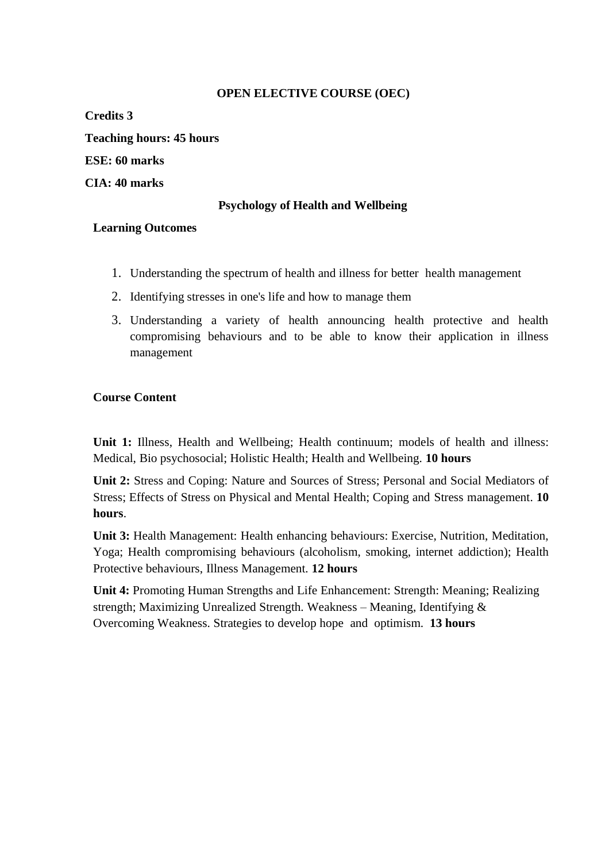## **OPEN ELECTIVE COURSE (OEC)**

**Credits 3 Teaching hours: 45 hours ESE: 60 marks CIA: 40 marks**

## **Psychology of Health and Wellbeing**

#### **Learning Outcomes**

- 1. Understanding the spectrum of health and illness for better health management
- 2. Identifying stresses in one's life and how to manage them
- 3. Understanding a variety of health announcing health protective and health compromising behaviours and to be able to know their application in illness management

### **Course Content**

**Unit 1:** Illness, Health and Wellbeing; Health continuum; models of health and illness: Medical, Bio psychosocial; Holistic Health; Health and Wellbeing. **10 hours**

**Unit 2:** Stress and Coping: Nature and Sources of Stress; Personal and Social Mediators of Stress; Effects of Stress on Physical and Mental Health; Coping and Stress management. **10 hours**.

**Unit 3:** Health Management: Health enhancing behaviours: Exercise, Nutrition, Meditation, Yoga; Health compromising behaviours (alcoholism, smoking, internet addiction); Health Protective behaviours, Illness Management. **12 hours**

**Unit 4:** Promoting Human Strengths and Life Enhancement: Strength: Meaning; Realizing strength; Maximizing Unrealized Strength. Weakness – Meaning, Identifying & Overcoming Weakness. Strategies to develop hope and optimism. **13 hours**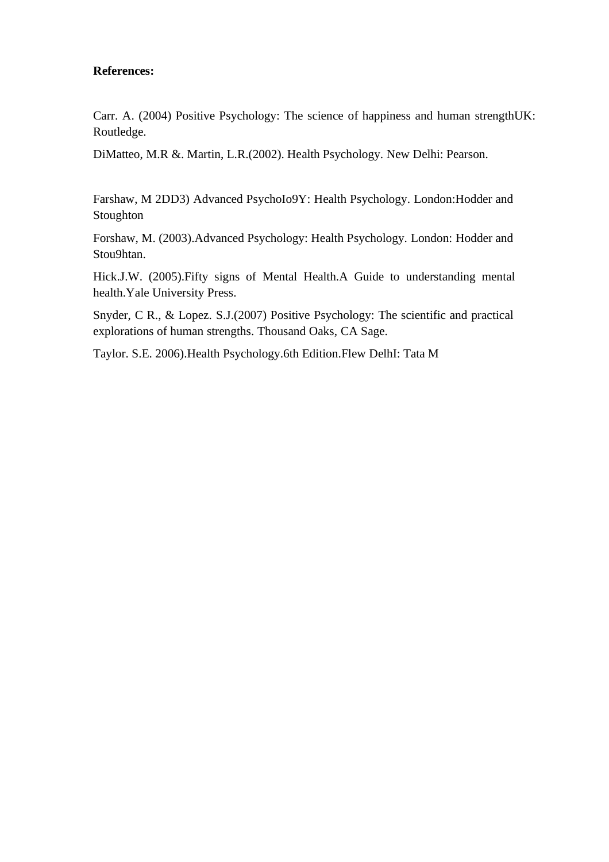### **References:**

Carr. A. (2004) Positive Psychology: The science of happiness and human strengthUK: Routledge.

DiMatteo, M.R &. Martin, L.R.(2002). Health Psychology. New Delhi: Pearson.

Farshaw, M 2DD3) Advanced PsychoIo9Y: Health Psychology. London:Hodder and Stoughton

Forshaw, M. (2003).Advanced Psychology: Health Psychology. London: Hodder and Stou9htan.

Hick.J.W. (2005).Fifty signs of Mental Health.A Guide to understanding mental health.Yale University Press.

Snyder, C R., & Lopez. S.J.(2007) Positive Psychology: The scientific and practical explorations of human strengths. Thousand Oaks, CA Sage.

Taylor. S.E. 2006).Health Psychology.6th Edition.Flew DelhI: Tata M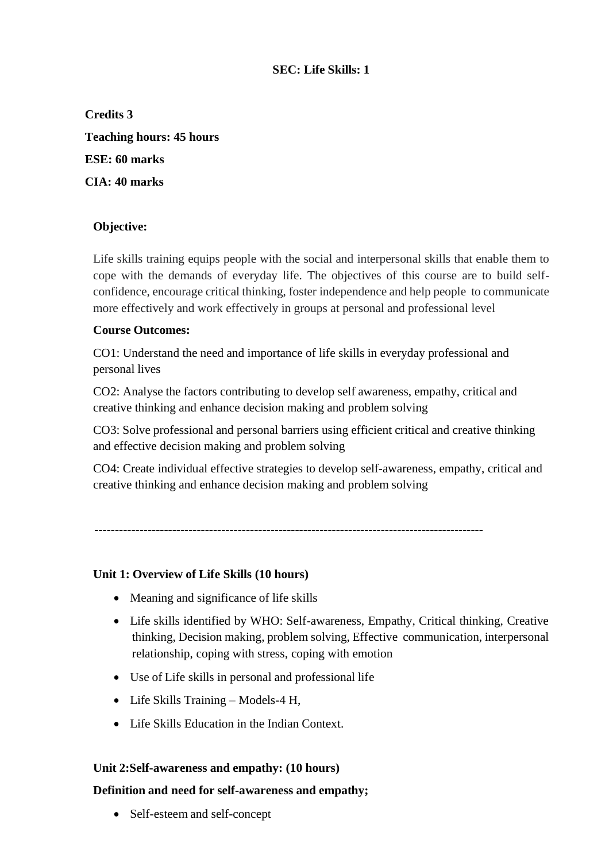## **SEC: Life Skills: 1**

**Credits 3 Teaching hours: 45 hours ESE: 60 marks CIA: 40 marks**

## **Objective:**

Life skills training equips people with the social and interpersonal skills that enable them to cope with the demands of everyday life. The objectives of this course are to build selfconfidence, encourage critical thinking, foster independence and help people to communicate more effectively and work effectively in groups at personal and professional level

## **Course Outcomes:**

CO1: Understand the need and importance of life skills in everyday professional and personal lives

CO2: Analyse the factors contributing to develop self awareness, empathy, critical and creative thinking and enhance decision making and problem solving

CO3: Solve professional and personal barriers using efficient critical and creative thinking and effective decision making and problem solving

CO4: Create individual effective strategies to develop self-awareness, empathy, critical and creative thinking and enhance decision making and problem solving

**-----------------------------------------------------------------------------------------------**

## **Unit 1: Overview of Life Skills (10 hours)**

- Meaning and significance of life skills
- Life skills identified by WHO: Self-awareness, Empathy, Critical thinking, Creative thinking, Decision making, problem solving, Effective communication, interpersonal relationship, coping with stress, coping with emotion
- Use of Life skills in personal and professional life
- Life Skills Training Models-4 H,
- Life Skills Education in the Indian Context.

#### **Unit 2:Self-awareness and empathy: (10 hours)**

#### **Definition and need for self-awareness and empathy;**

• Self-esteem and self-concept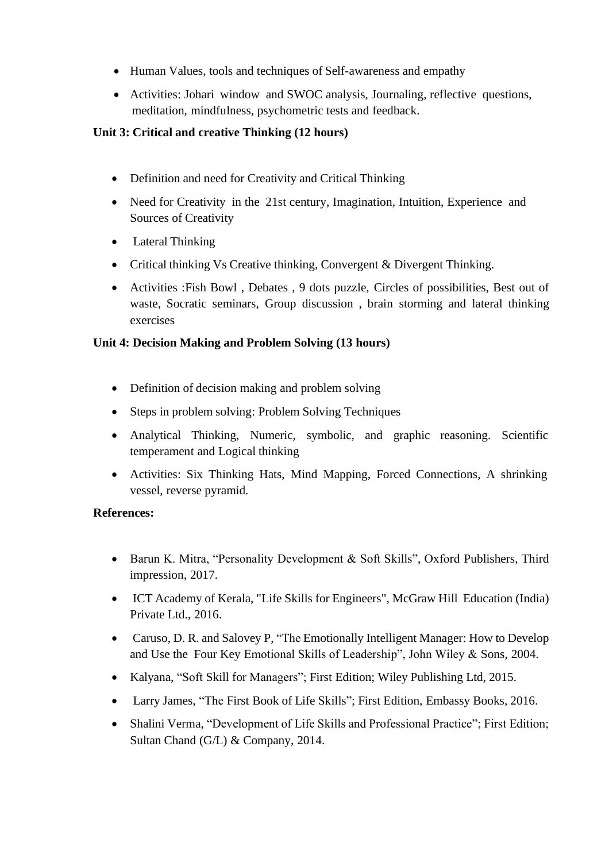- Human Values, tools and techniques of Self-awareness and empathy
- Activities: Johari window and SWOC analysis, Journaling, reflective questions, meditation, mindfulness, psychometric tests and feedback.

## **Unit 3: Critical and creative Thinking (12 hours)**

- Definition and need for Creativity and Critical Thinking
- Need for Creativity in the 21st century, Imagination, Intuition, Experience and Sources of Creativity
- Lateral Thinking
- Critical thinking Vs Creative thinking, Convergent & Divergent Thinking.
- Activities :Fish Bowl , Debates , 9 dots puzzle, Circles of possibilities, Best out of waste, Socratic seminars, Group discussion , brain storming and lateral thinking exercises

## **Unit 4: Decision Making and Problem Solving (13 hours)**

- Definition of decision making and problem solving
- Steps in problem solving: Problem Solving Techniques
- Analytical Thinking, Numeric, symbolic, and graphic reasoning. Scientific temperament and Logical thinking
- Activities: Six Thinking Hats, Mind Mapping, Forced Connections, A shrinking vessel, reverse pyramid.

## **References:**

- Barun K. Mitra, "Personality Development & Soft Skills", Oxford Publishers, Third impression, 2017.
- ICT Academy of Kerala, "Life Skills for Engineers", McGraw Hill Education (India) Private Ltd., 2016.
- Caruso, D. R. and Salovey P. "The Emotionally Intelligent Manager: How to Develop and Use the Four Key Emotional Skills of Leadership", John Wiley & Sons, 2004.
- Kalyana, "Soft Skill for Managers"; First Edition; Wiley Publishing Ltd, 2015.
- Larry James, "The First Book of Life Skills"; First Edition, Embassy Books, 2016.
- Shalini Verma, "Development of Life Skills and Professional Practice"; First Edition; Sultan Chand (G/L) & Company, 2014.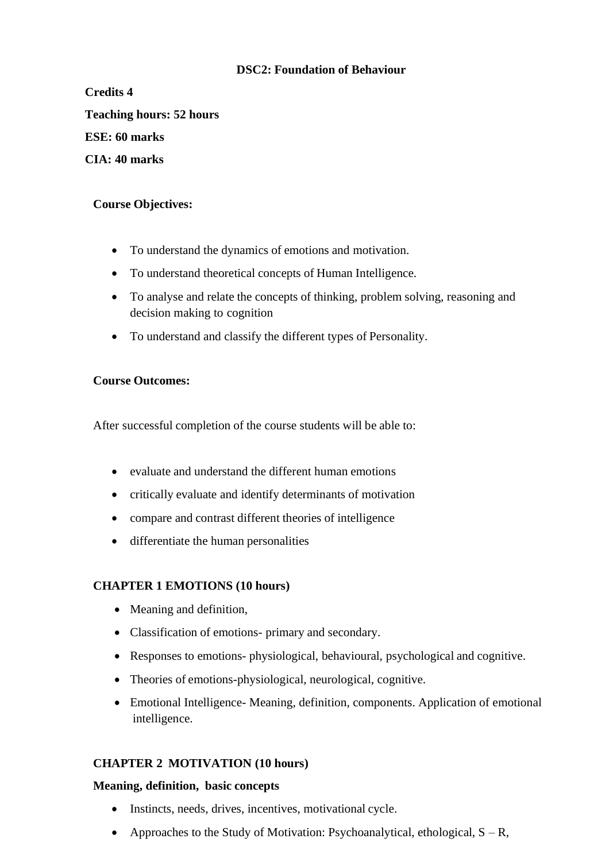## **DSC2: Foundation of Behaviour**

**Credits 4 Teaching hours: 52 hours ESE: 60 marks CIA: 40 marks**

## **Course Objectives:**

- To understand the dynamics of emotions and motivation.
- To understand theoretical concepts of Human Intelligence.
- To analyse and relate the concepts of thinking, problem solving, reasoning and decision making to cognition
- To understand and classify the different types of Personality.

#### **Course Outcomes:**

After successful completion of the course students will be able to:

- evaluate and understand the different human emotions
- critically evaluate and identify determinants of motivation
- compare and contrast different theories of intelligence
- differentiate the human personalities

#### **CHAPTER 1 EMOTIONS (10 hours)**

- Meaning and definition,
- Classification of emotions- primary and secondary.
- Responses to emotions- physiological, behavioural, psychological and cognitive.
- Theories of emotions-physiological, neurological, cognitive.
- Emotional Intelligence- Meaning, definition, components. Application of emotional intelligence.

## **CHAPTER 2 MOTIVATION (10 hours)**

#### **Meaning, definition, basic concepts**

- Instincts, needs, drives, incentives, motivational cycle.
- Approaches to the Study of Motivation: Psychoanalytical, ethological,  $S R$ ,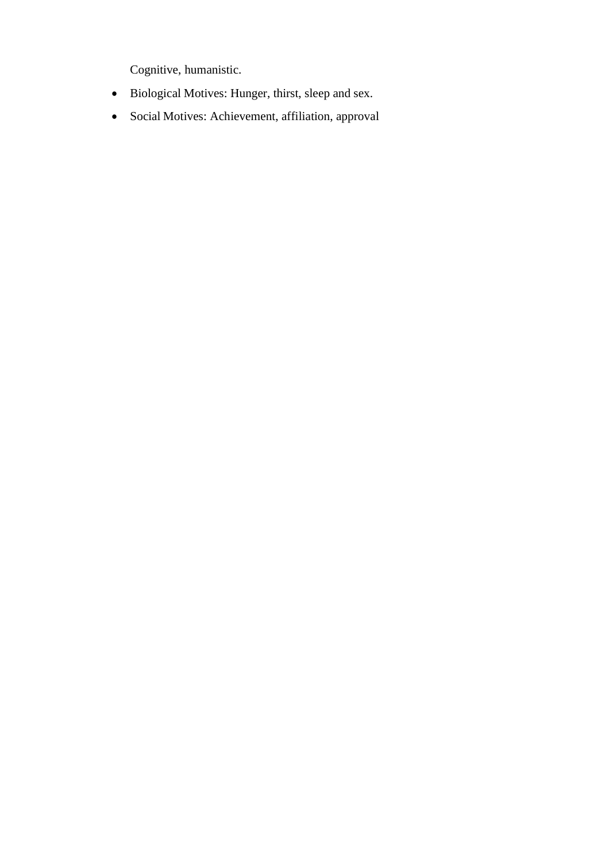Cognitive, humanistic.

- Biological Motives: Hunger, thirst, sleep and sex.
- Social Motives: Achievement, affiliation, approval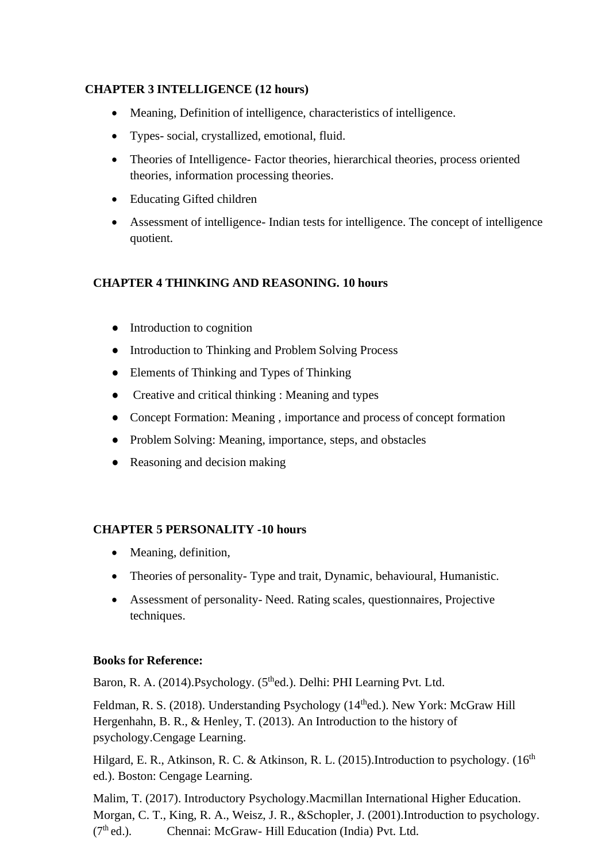## **CHAPTER 3 INTELLIGENCE (12 hours)**

- Meaning, Definition of intelligence, characteristics of intelligence.
- Types- social, crystallized, emotional, fluid.
- Theories of Intelligence- Factor theories, hierarchical theories, process oriented theories, information processing theories.
- Educating Gifted children
- Assessment of intelligence- Indian tests for intelligence. The concept of intelligence quotient.

## **CHAPTER 4 THINKING AND REASONING. 10 hours**

- Introduction to cognition
- Introduction to Thinking and Problem Solving Process
- Elements of Thinking and Types of Thinking
- Creative and critical thinking : Meaning and types
- Concept Formation: Meaning, importance and process of concept formation
- Problem Solving: Meaning, importance, steps, and obstacles
- Reasoning and decision making

## **CHAPTER 5 PERSONALITY -10 hours**

- Meaning, definition,
- Theories of personality-Type and trait, Dynamic, behavioural, Humanistic.
- Assessment of personality- Need. Rating scales, questionnaires, Projective techniques.

## **Books for Reference:**

Baron, R. A. (2014).Psychology. (5<sup>th</sup>ed.). Delhi: PHI Learning Pvt. Ltd.

Feldman, R. S. (2018). Understanding Psychology (14<sup>th</sup>ed.). New York: McGraw Hill Hergenhahn, B. R., & Henley, T. (2013). An Introduction to the history of psychology.Cengage Learning.

Hilgard, E. R., Atkinson, R. C. & Atkinson, R. L. (2015). Introduction to psychology. (16<sup>th</sup> ed.). Boston: Cengage Learning.

Malim, T. (2017). Introductory Psychology.Macmillan International Higher Education. Morgan, C. T., King, R. A., Weisz, J. R., &Schopler, J. (2001).Introduction to psychology.  $(7<sup>th</sup>$ ed.). Chennai: McGraw- Hill Education (India) Pvt. Ltd.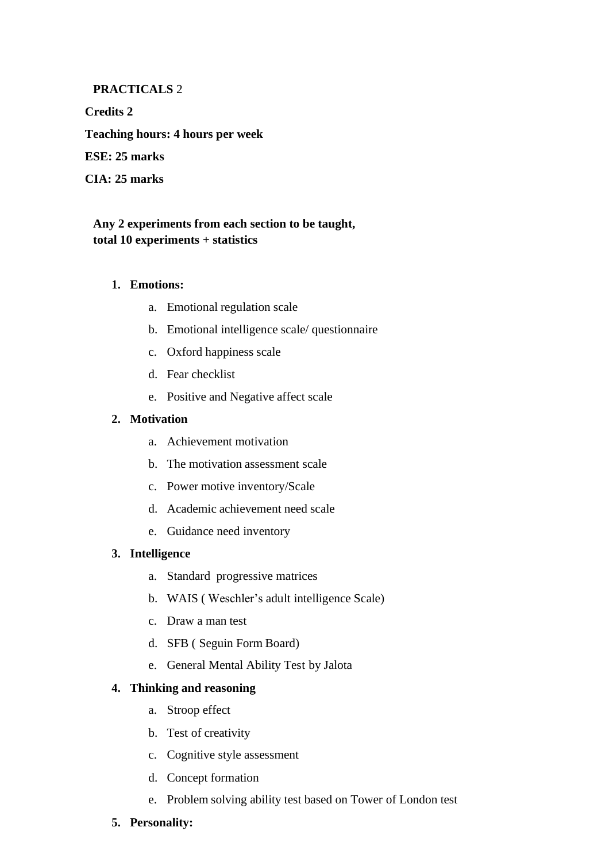### **PRACTICALS** 2

**Credits 2 Teaching hours: 4 hours per week ESE: 25 marks CIA: 25 marks**

## **Any 2 experiments from each section to be taught, total 10 experiments + statistics**

#### **1. Emotions:**

- a. Emotional regulation scale
- b. Emotional intelligence scale/ questionnaire
- c. Oxford happiness scale
- d. Fear checklist
- e. Positive and Negative affect scale

#### **2. Motivation**

- a. Achievement motivation
- b. The motivation assessment scale
- c. Power motive inventory/Scale
- d. Academic achievement need scale
- e. Guidance need inventory

#### **3. Intelligence**

- a. Standard progressive matrices
- b. WAIS ( Weschler's adult intelligence Scale)
- c. Draw a man test
- d. SFB ( Seguin Form Board)
- e. General Mental Ability Test by Jalota

#### **4. Thinking and reasoning**

- a. Stroop effect
- b. Test of creativity
- c. Cognitive style assessment
- d. Concept formation
- e. Problem solving ability test based on Tower of London test
- **5. Personality:**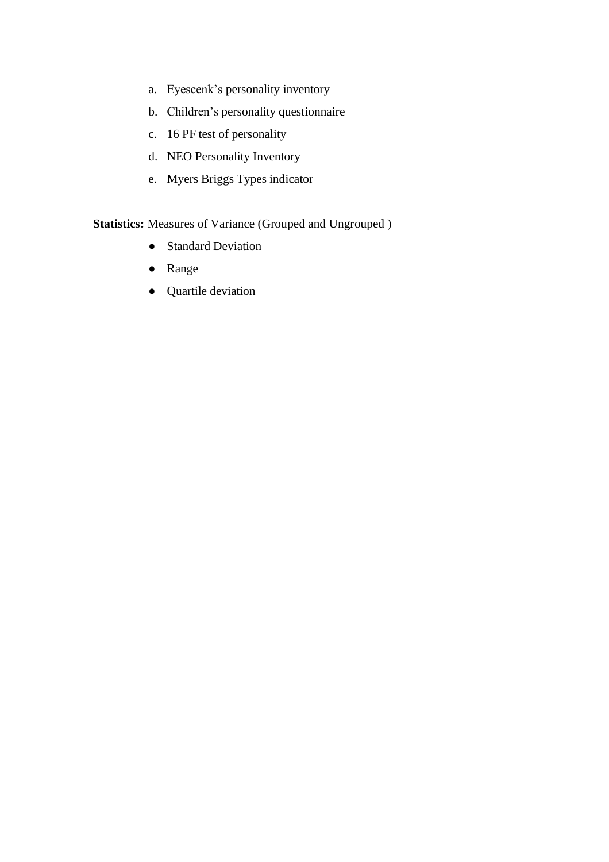- a. Eyescenk's personality inventory
- b. Children's personality questionnaire
- c. 16 PF test of personality
- d. NEO Personality Inventory
- e. Myers Briggs Types indicator

## **Statistics:** Measures of Variance (Grouped and Ungrouped )

- Standard Deviation
- Range
- Quartile deviation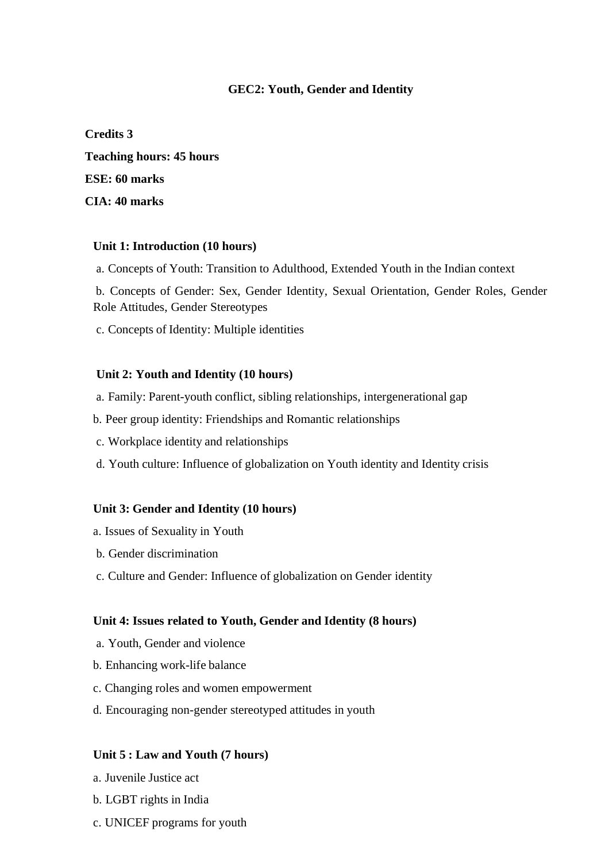## **GEC2: Youth, Gender and Identity**

**Credits 3 Teaching hours: 45 hours ESE: 60 marks CIA: 40 marks**

#### **Unit 1: Introduction (10 hours)**

a. Concepts of Youth: Transition to Adulthood, Extended Youth in the Indian context

b. Concepts of Gender: Sex, Gender Identity, Sexual Orientation, Gender Roles, Gender Role Attitudes, Gender Stereotypes

c. Concepts of Identity: Multiple identities

#### **Unit 2: Youth and Identity (10 hours)**

- a. Family: Parent-youth conflict, sibling relationships, intergenerational gap
- b. Peer group identity: Friendships and Romantic relationships
- c. Workplace identity and relationships
- d. Youth culture: Influence of globalization on Youth identity and Identity crisis

#### **Unit 3: Gender and Identity (10 hours)**

- a. Issues of Sexuality in Youth
- b. Gender discrimination
- c. Culture and Gender: Influence of globalization on Gender identity

#### **Unit 4: Issues related to Youth, Gender and Identity (8 hours)**

- a. Youth, Gender and violence
- b. Enhancing work-life balance
- c. Changing roles and women empowerment
- d. Encouraging non-gender stereotyped attitudes in youth

#### **Unit 5 : Law and Youth (7 hours)**

- a. Juvenile Justice act
- b. LGBT rights in India
- c. UNICEF programs for youth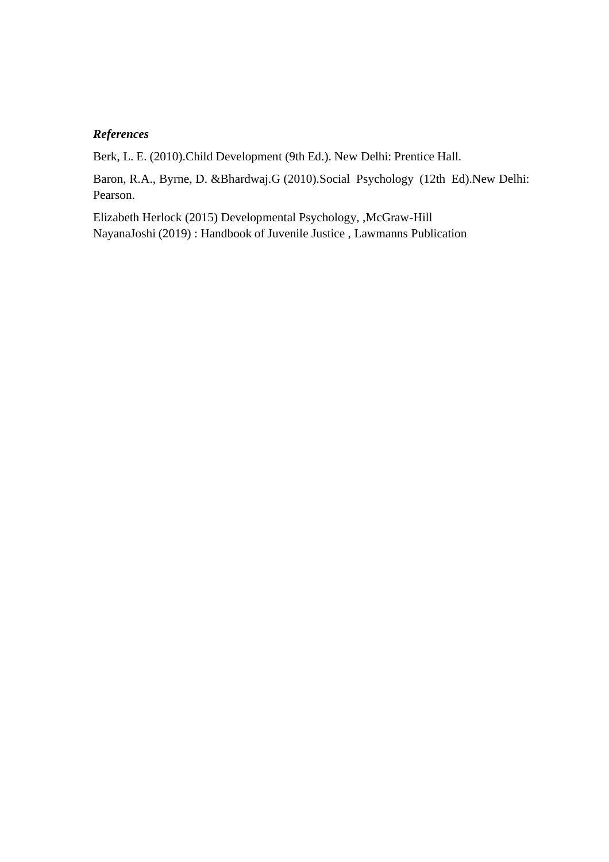## *References*

Berk, L. E. (2010).Child Development (9th Ed.). New Delhi: Prentice Hall.

Baron, R.A., Byrne, D. &Bhardwaj.G (2010).Social Psychology (12th Ed).New Delhi: Pearson.

Elizabeth Herlock (2015) Developmental Psychology, ,McGraw-Hill NayanaJoshi (2019) : Handbook of Juvenile Justice , Lawmanns Publication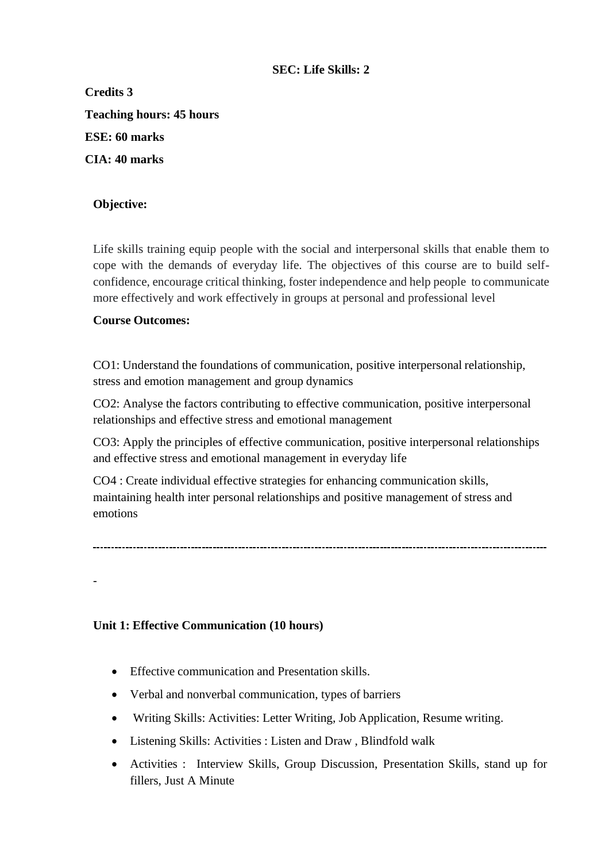## **SEC: Life Skills: 2**

**Credits 3 Teaching hours: 45 hours ESE: 60 marks CIA: 40 marks**

## **Objective:**

Life skills training equip people with the social and interpersonal skills that enable them to cope with the demands of everyday life. The objectives of this course are to build selfconfidence, encourage critical thinking, foster independence and help people to communicate more effectively and work effectively in groups at personal and professional level

## **Course Outcomes:**

-

CO1: Understand the foundations of communication, positive interpersonal relationship, stress and emotion management and group dynamics

CO2: Analyse the factors contributing to effective communication, positive interpersonal relationships and effective stress and emotional management

CO3: Apply the principles of effective communication, positive interpersonal relationships and effective stress and emotional management in everyday life

CO4 : Create individual effective strategies for enhancing communication skills, maintaining health inter personal relationships and positive management of stress and emotions

## **Unit 1: Effective Communication (10 hours)**

- Effective communication and Presentation skills.
- Verbal and nonverbal communication, types of barriers
- Writing Skills: Activities: Letter Writing, Job Application, Resume writing.
- Listening Skills: Activities : Listen and Draw , Blindfold walk
- Activities : Interview Skills, Group Discussion, Presentation Skills, stand up for fillers, Just A Minute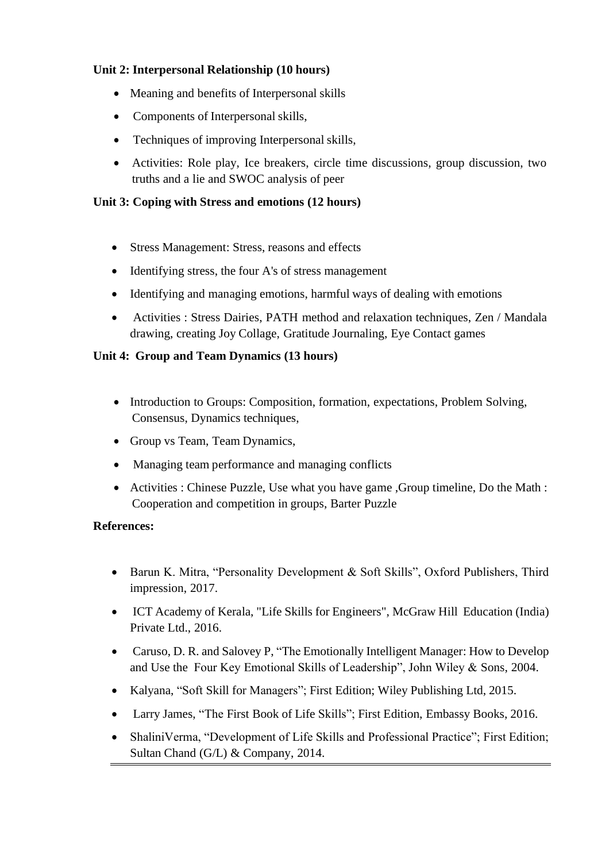## **Unit 2: Interpersonal Relationship (10 hours)**

- Meaning and benefits of Interpersonal skills
- Components of Interpersonal skills,
- Techniques of improving Interpersonal skills,
- Activities: Role play, Ice breakers, circle time discussions, group discussion, two truths and a lie and SWOC analysis of peer

## **Unit 3: Coping with Stress and emotions (12 hours)**

- Stress Management: Stress, reasons and effects
- Identifying stress, the four A's of stress management
- Identifying and managing emotions, harmful ways of dealing with emotions
- Activities : Stress Dairies, PATH method and relaxation techniques, Zen / Mandala drawing, creating Joy Collage, Gratitude Journaling, Eye Contact games

## **Unit 4: Group and Team Dynamics (13 hours)**

- Introduction to Groups: Composition, formation, expectations, Problem Solving, Consensus, Dynamics techniques,
- Group vs Team, Team Dynamics,
- Managing team performance and managing conflicts
- Activities : Chinese Puzzle, Use what you have game ,Group timeline, Do the Math : Cooperation and competition in groups, Barter Puzzle

## **References:**

- Barun K. Mitra, "Personality Development & Soft Skills", Oxford Publishers, Third impression, 2017.
- ICT Academy of Kerala, "Life Skills for Engineers", McGraw Hill Education (India) Private Ltd., 2016.
- Caruso, D. R. and Salovey P, "The Emotionally Intelligent Manager: How to Develop and Use the Four Key Emotional Skills of Leadership", John Wiley & Sons, 2004.
- Kalyana, "Soft Skill for Managers"; First Edition; Wiley Publishing Ltd, 2015.
- Larry James, "The First Book of Life Skills"; First Edition, Embassy Books, 2016.
- ShaliniVerma, "Development of Life Skills and Professional Practice"; First Edition; Sultan Chand (G/L) & Company, 2014.